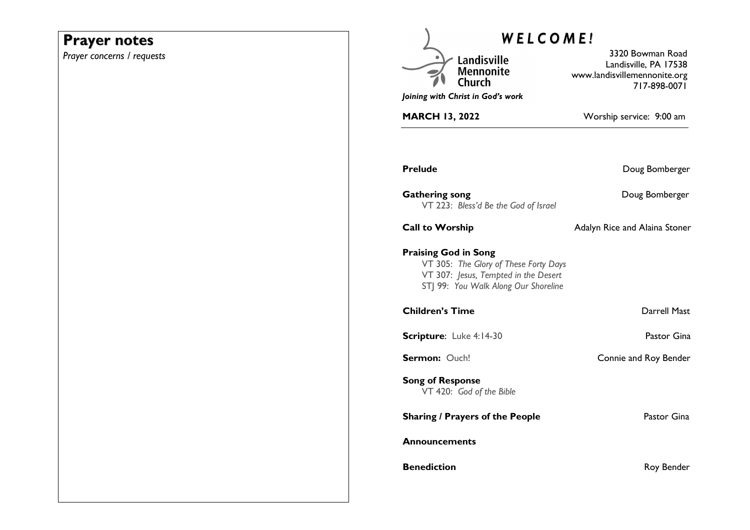# **Prayer notes**

*Prayer concerns / requests* 

| WELCOME!                                                                                                                                             |                                                                                           |
|------------------------------------------------------------------------------------------------------------------------------------------------------|-------------------------------------------------------------------------------------------|
| Landisville<br><b>Mennonite</b><br>Joining with Christ in God's work                                                                                 | 3320 Bowman Road<br>Landisville, PA 17538<br>www.landisvillemennonite.org<br>717-898-0071 |
| <b>MARCH 13, 2022</b>                                                                                                                                | Worship service: 9:00 am                                                                  |
|                                                                                                                                                      |                                                                                           |
| <b>Prelude</b>                                                                                                                                       | Doug Bomberger                                                                            |
| <b>Gathering song</b><br>VT 223: Bless'd Be the God of Israel                                                                                        | Doug Bomberger                                                                            |
| <b>Call to Worship</b>                                                                                                                               | Adalyn Rice and Alaina Stoner                                                             |
| <b>Praising God in Song</b><br>VT 305: The Glory of These Forty Days<br>VT 307: Jesus, Tempted in the Desert<br>STJ 99: You Walk Along Our Shoreline |                                                                                           |
| <b>Children's Time</b>                                                                                                                               | Darrell Mast                                                                              |
| Scripture: Luke 4:14-30                                                                                                                              | Pastor Gina                                                                               |
| Sermon: Ouch!                                                                                                                                        | Connie and Roy Bender                                                                     |
| <b>Song of Response</b><br>VT 420: God of the Bible                                                                                                  |                                                                                           |
| <b>Sharing / Prayers of the People</b>                                                                                                               | Pastor Gina                                                                               |
| <b>Announcements</b>                                                                                                                                 |                                                                                           |
| <b>Benediction</b>                                                                                                                                   | Roy Bender                                                                                |